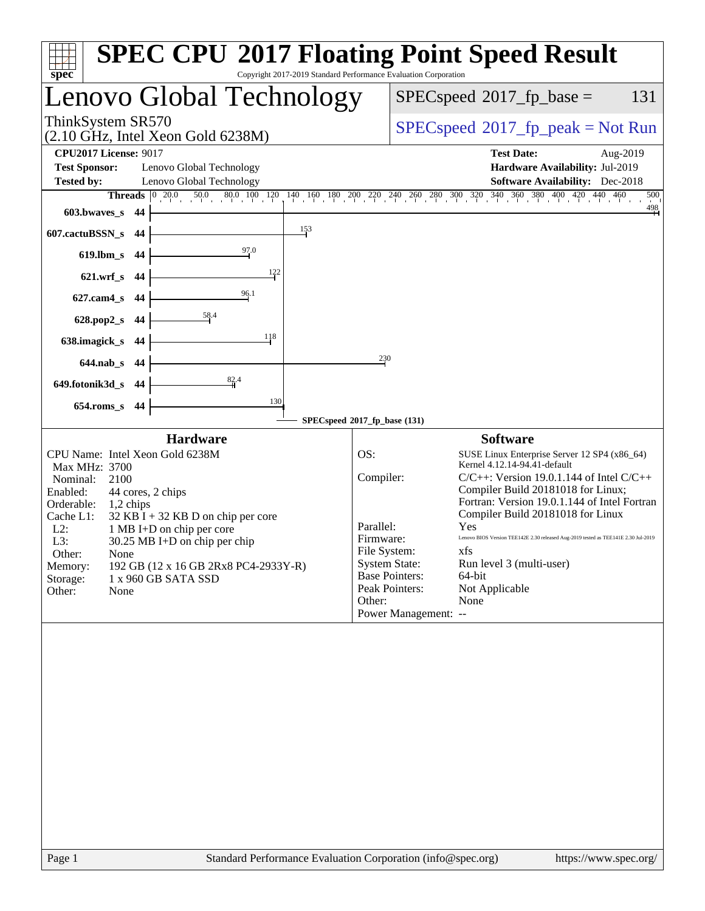| spec <sup>®</sup>                                                                        | Copyright 2017-2019 Standard Performance Evaluation Corporation | <b>SPEC CPU®2017 Floating Point Speed Result</b>                                                                                                                                                |
|------------------------------------------------------------------------------------------|-----------------------------------------------------------------|-------------------------------------------------------------------------------------------------------------------------------------------------------------------------------------------------|
| Lenovo Global Technology                                                                 |                                                                 | 131<br>$SPEC speed^{\circ}2017\_fp\_base =$                                                                                                                                                     |
| ThinkSystem SR570<br>$(2.10 \text{ GHz}, \text{Intel Xeon Gold } 6238\text{M})$          |                                                                 | $SPEC speed^{\circ}2017\_fp\_peak = Not Run$                                                                                                                                                    |
| <b>CPU2017 License: 9017</b>                                                             |                                                                 | <b>Test Date:</b><br>Aug-2019                                                                                                                                                                   |
| <b>Test Sponsor:</b><br>Lenovo Global Technology                                         |                                                                 | Hardware Availability: Jul-2019                                                                                                                                                                 |
| <b>Tested by:</b><br>Lenovo Global Technology                                            |                                                                 | <b>Software Availability:</b> Dec-2018                                                                                                                                                          |
| <b>Threads</b><br>$\begin{bmatrix} 0 & 20.0 & 50.0 & 80.0 & 100 & 120 \end{bmatrix}$     |                                                                 | $140 \quad 160 \quad 180 \quad 200 \quad 270 \quad 240 \quad 260 \quad 280 \quad 300 \quad 320 \quad 340 \quad 360 \quad 380 \quad 400 \quad 420 \quad 440 \quad 460$<br>500<br>$\frac{498}{4}$ |
| $603.bwaves$ s<br>44                                                                     |                                                                 |                                                                                                                                                                                                 |
| 607.cactuBSSN_s<br>44                                                                    | $\frac{153}{2}$                                                 |                                                                                                                                                                                                 |
| 97.0<br>619.lbm_s<br>44                                                                  |                                                                 |                                                                                                                                                                                                 |
| 122<br>$621.wrf$ <sub>S</sub><br>44                                                      |                                                                 |                                                                                                                                                                                                 |
| 96.1<br>627.cam4_s<br>44                                                                 |                                                                 |                                                                                                                                                                                                 |
| <u>58</u> .4<br>628.pop2_s<br>44                                                         |                                                                 |                                                                                                                                                                                                 |
| 118<br>638.imagick_s<br>-44                                                              |                                                                 |                                                                                                                                                                                                 |
| $644$ .nab $\sf s$<br>44                                                                 | 230                                                             |                                                                                                                                                                                                 |
| 82.4<br>649.fotonik3d_s<br>-44                                                           |                                                                 |                                                                                                                                                                                                 |
| $654$ .roms_s<br>44                                                                      | 130                                                             |                                                                                                                                                                                                 |
|                                                                                          | SPECspeed®2017_fp_base (131)                                    |                                                                                                                                                                                                 |
| <b>Hardware</b>                                                                          |                                                                 | <b>Software</b>                                                                                                                                                                                 |
| CPU Name: Intel Xeon Gold 6238M                                                          | OS:                                                             | SUSE Linux Enterprise Server 12 SP4 (x86_64)                                                                                                                                                    |
| Max MHz: 3700                                                                            | Compiler:                                                       | Kernel 4.12.14-94.41-default<br>$C/C++$ : Version 19.0.1.144 of Intel $C/C++$                                                                                                                   |
| Nominal:<br>2100<br>Enabled:<br>44 cores, 2 chips                                        |                                                                 | Compiler Build 20181018 for Linux;                                                                                                                                                              |
| Orderable:<br>1,2 chips                                                                  |                                                                 | Fortran: Version 19.0.1.144 of Intel Fortran                                                                                                                                                    |
| Cache L1:<br>$32$ KB I + 32 KB D on chip per core<br>$L2$ :<br>1 MB I+D on chip per core | Parallel:                                                       | Compiler Build 20181018 for Linux<br>Yes                                                                                                                                                        |
| L3:<br>30.25 MB I+D on chip per chip                                                     | Firmware:                                                       | Lenovo BIOS Version TEE142E 2.30 released Aug-2019 tested as TEE141E 2.30 Jul-2019                                                                                                              |
| Other:<br>None                                                                           | File System:                                                    | xfs.                                                                                                                                                                                            |
| 192 GB (12 x 16 GB 2Rx8 PC4-2933Y-R)<br>Memory:                                          |                                                                 | <b>System State:</b><br>Run level 3 (multi-user)<br><b>Base Pointers:</b><br>64-bit                                                                                                             |
| 1 x 960 GB SATA SSD<br>Storage:<br>Other:<br>None                                        |                                                                 | Peak Pointers:<br>Not Applicable                                                                                                                                                                |
|                                                                                          | Other:                                                          | None                                                                                                                                                                                            |
|                                                                                          |                                                                 | Power Management: --                                                                                                                                                                            |
|                                                                                          |                                                                 |                                                                                                                                                                                                 |
| Page 1                                                                                   |                                                                 | Standard Performance Evaluation Corporation (info@spec.org)<br>https://www.spec.org/                                                                                                            |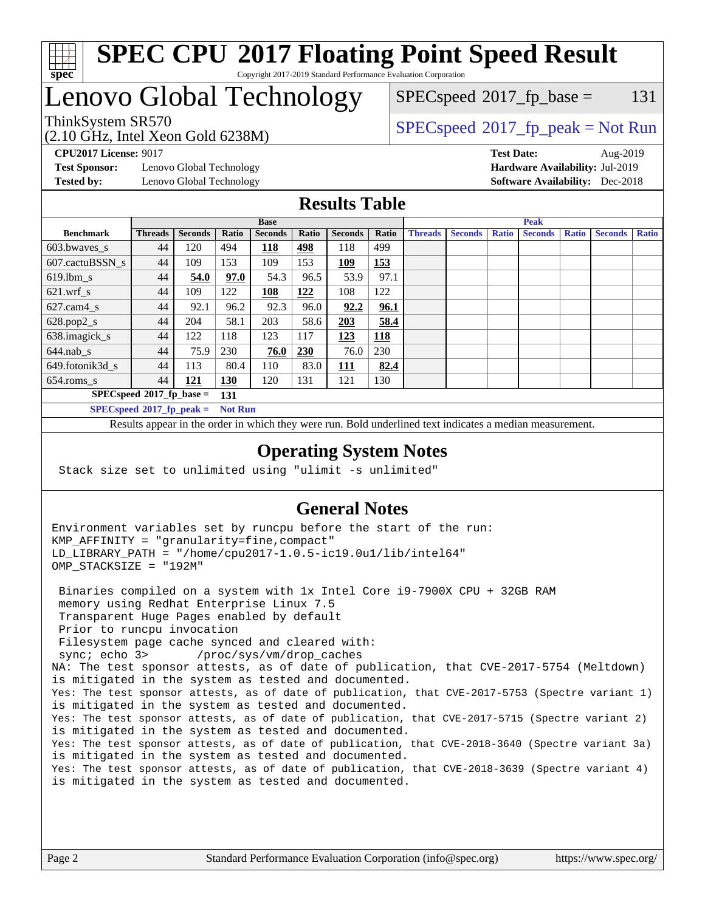

#### **[SPEC CPU](http://www.spec.org/auto/cpu2017/Docs/result-fields.html#SPECCPU2017FloatingPointSpeedResult)[2017 Floating Point Speed Result](http://www.spec.org/auto/cpu2017/Docs/result-fields.html#SPECCPU2017FloatingPointSpeedResult)** Copyright 2017-2019 Standard Performance Evaluation Corporation

# Lenovo Global Technology

(2.10 GHz, Intel Xeon Gold 6238M)

 $SPEC speed^{\circ}2017\_fp\_base = 131$ 

### ThinkSystem SR570<br>  $SPEC speed^{\circ}2017$  [p\_peak = Not Run

**[Test Sponsor:](http://www.spec.org/auto/cpu2017/Docs/result-fields.html#TestSponsor)** Lenovo Global Technology **[Hardware Availability:](http://www.spec.org/auto/cpu2017/Docs/result-fields.html#HardwareAvailability)** Jul-2019 **[Tested by:](http://www.spec.org/auto/cpu2017/Docs/result-fields.html#Testedby)** Lenovo Global Technology **[Software Availability:](http://www.spec.org/auto/cpu2017/Docs/result-fields.html#SoftwareAvailability)** Dec-2018

**[CPU2017 License:](http://www.spec.org/auto/cpu2017/Docs/result-fields.html#CPU2017License)** 9017 **[Test Date:](http://www.spec.org/auto/cpu2017/Docs/result-fields.html#TestDate)** Aug-2019

#### **[Results Table](http://www.spec.org/auto/cpu2017/Docs/result-fields.html#ResultsTable)**

|                                               | <b>Base</b>    |                |       |                |            |                | <b>Peak</b> |                |                |              |                |              |                |              |
|-----------------------------------------------|----------------|----------------|-------|----------------|------------|----------------|-------------|----------------|----------------|--------------|----------------|--------------|----------------|--------------|
| <b>Benchmark</b>                              | <b>Threads</b> | <b>Seconds</b> | Ratio | <b>Seconds</b> | Ratio      | <b>Seconds</b> | Ratio       | <b>Threads</b> | <b>Seconds</b> | <b>Ratio</b> | <b>Seconds</b> | <b>Ratio</b> | <b>Seconds</b> | <b>Ratio</b> |
| 603.bwayes_s                                  | 44             | 120            | 494   | 118            | 498        | 118            | 499         |                |                |              |                |              |                |              |
| 607.cactuBSSN s                               | 44             | 109            | 153   | 109            | 153        | 109            | 153         |                |                |              |                |              |                |              |
| $619.$ lbm s                                  | 44             | 54.0           | 97.0  | 54.3           | 96.5       | 53.9           | 97.1        |                |                |              |                |              |                |              |
| $621.wrf$ s                                   | 44             | 109            | 122   | <u> 108</u>    | <u>122</u> | 108            | 122         |                |                |              |                |              |                |              |
| $627$ .cam $4 \text{ s}$                      | 44             | 92.1           | 96.2  | 92.3           | 96.0       | 92.2           | 96.1        |                |                |              |                |              |                |              |
| $628.pop2_s$                                  | 44             | 204            | 58.1  | 203            | 58.6       | 203            | 58.4        |                |                |              |                |              |                |              |
| 638.imagick_s                                 | 44             | 122            | 118   | 123            | 117        | 123            | 118         |                |                |              |                |              |                |              |
| $644$ .nab s                                  | 44             | 75.9           | 230   | 76.0           | 230        | 76.0           | 230         |                |                |              |                |              |                |              |
| 649.fotonik3d_s                               | 44             | 113            | 80.4  | 110            | 83.0       | 111            | 82.4        |                |                |              |                |              |                |              |
| $654$ .roms_s                                 | 44             | 121            | 130   | 120            | 131        | 121            | 130         |                |                |              |                |              |                |              |
| $SPECspeed*2017_fp\_base =$<br>131            |                |                |       |                |            |                |             |                |                |              |                |              |                |              |
| $SPECspeed*2017_fp\_peak =$<br><b>Not Run</b> |                |                |       |                |            |                |             |                |                |              |                |              |                |              |

Results appear in the [order in which they were run.](http://www.spec.org/auto/cpu2017/Docs/result-fields.html#RunOrder) Bold underlined text [indicates a median measurement](http://www.spec.org/auto/cpu2017/Docs/result-fields.html#Median).

#### **[Operating System Notes](http://www.spec.org/auto/cpu2017/Docs/result-fields.html#OperatingSystemNotes)**

Stack size set to unlimited using "ulimit -s unlimited"

### **[General Notes](http://www.spec.org/auto/cpu2017/Docs/result-fields.html#GeneralNotes)**

Environment variables set by runcpu before the start of the run: KMP\_AFFINITY = "granularity=fine,compact" LD\_LIBRARY\_PATH = "/home/cpu2017-1.0.5-ic19.0u1/lib/intel64" OMP\_STACKSIZE = "192M"

 Binaries compiled on a system with 1x Intel Core i9-7900X CPU + 32GB RAM memory using Redhat Enterprise Linux 7.5 Transparent Huge Pages enabled by default Prior to runcpu invocation Filesystem page cache synced and cleared with: sync; echo 3> /proc/sys/vm/drop\_caches NA: The test sponsor attests, as of date of publication, that CVE-2017-5754 (Meltdown) is mitigated in the system as tested and documented. Yes: The test sponsor attests, as of date of publication, that CVE-2017-5753 (Spectre variant 1) is mitigated in the system as tested and documented. Yes: The test sponsor attests, as of date of publication, that CVE-2017-5715 (Spectre variant 2) is mitigated in the system as tested and documented. Yes: The test sponsor attests, as of date of publication, that CVE-2018-3640 (Spectre variant 3a) is mitigated in the system as tested and documented. Yes: The test sponsor attests, as of date of publication, that CVE-2018-3639 (Spectre variant 4) is mitigated in the system as tested and documented.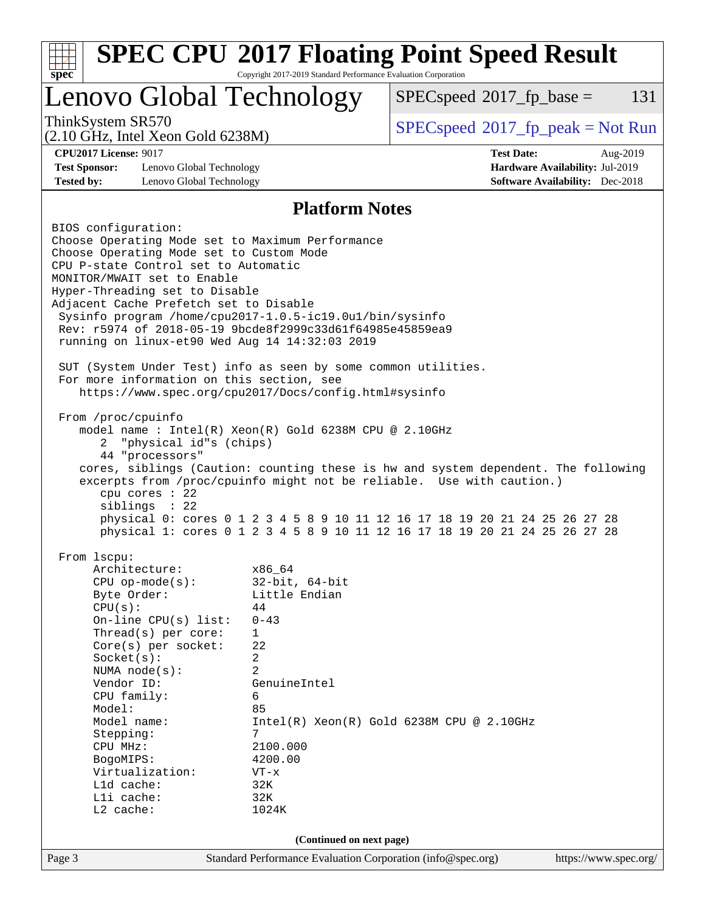| <b>SPEC CPU®2017 Floating Point Speed Result</b><br>Copyright 2017-2019 Standard Performance Evaluation Corporation<br>spec <sup>®</sup>                                                                                                                                                                                                                                                                                                                                                                                                                                                                                                                                                                                                                                                                                                                                                                                                                                                                                  |                                                                                                                                                                                                          |                                              |                                                                           |          |  |  |
|---------------------------------------------------------------------------------------------------------------------------------------------------------------------------------------------------------------------------------------------------------------------------------------------------------------------------------------------------------------------------------------------------------------------------------------------------------------------------------------------------------------------------------------------------------------------------------------------------------------------------------------------------------------------------------------------------------------------------------------------------------------------------------------------------------------------------------------------------------------------------------------------------------------------------------------------------------------------------------------------------------------------------|----------------------------------------------------------------------------------------------------------------------------------------------------------------------------------------------------------|----------------------------------------------|---------------------------------------------------------------------------|----------|--|--|
| Lenovo Global Technology                                                                                                                                                                                                                                                                                                                                                                                                                                                                                                                                                                                                                                                                                                                                                                                                                                                                                                                                                                                                  |                                                                                                                                                                                                          | $SPEC speed^{\circ}2017$ _fp_base =          |                                                                           | 131      |  |  |
| ThinkSystem SR570<br>$(2.10 \text{ GHz}, \text{Intel Xeon Gold } 6238\text{M})$                                                                                                                                                                                                                                                                                                                                                                                                                                                                                                                                                                                                                                                                                                                                                                                                                                                                                                                                           |                                                                                                                                                                                                          | $SPEC speed^{\circ}2017\_fp\_peak = Not Run$ |                                                                           |          |  |  |
| <b>CPU2017 License: 9017</b><br><b>Test Sponsor:</b><br>Lenovo Global Technology<br><b>Tested by:</b><br>Lenovo Global Technology                                                                                                                                                                                                                                                                                                                                                                                                                                                                                                                                                                                                                                                                                                                                                                                                                                                                                         |                                                                                                                                                                                                          | <b>Test Date:</b>                            | Hardware Availability: Jul-2019<br><b>Software Availability:</b> Dec-2018 | Aug-2019 |  |  |
| <b>Platform Notes</b>                                                                                                                                                                                                                                                                                                                                                                                                                                                                                                                                                                                                                                                                                                                                                                                                                                                                                                                                                                                                     |                                                                                                                                                                                                          |                                              |                                                                           |          |  |  |
| Choose Operating Mode set to Maximum Performance<br>Choose Operating Mode set to Custom Mode<br>CPU P-state Control set to Automatic<br>MONITOR/MWAIT set to Enable<br>Hyper-Threading set to Disable<br>Adjacent Cache Prefetch set to Disable<br>Sysinfo program /home/cpu2017-1.0.5-ic19.0ul/bin/sysinfo<br>Rev: r5974 of 2018-05-19 9bcde8f2999c33d61f64985e45859ea9<br>running on linux-et90 Wed Aug 14 14:32:03 2019<br>SUT (System Under Test) info as seen by some common utilities.<br>For more information on this section, see<br>https://www.spec.org/cpu2017/Docs/config.html#sysinfo<br>From /proc/cpuinfo<br>model name: $Intel(R)$ Xeon $(R)$ Gold 6238M CPU @ 2.10GHz<br>"physical id"s (chips)<br>2<br>44 "processors"<br>cores, siblings (Caution: counting these is hw and system dependent. The following<br>excerpts from /proc/cpuinfo might not be reliable. Use with caution.)<br>cpu cores : 22<br>siblings : 22<br>physical 0: cores 0 1 2 3 4 5 8 9 10 11 12 16 17 18 19 20 21 24 25 26 27 28 |                                                                                                                                                                                                          |                                              |                                                                           |          |  |  |
| From lscpu:<br>Architecture:<br>$CPU$ op-mode( $s$ ):<br>Byte Order:<br>CPU(s):<br>On-line CPU $(s)$ list:<br>Thread(s) per core:<br>Core(s) per socket:<br>Socket(s):<br>NUMA $node(s)$ :<br>Vendor ID:<br>CPU family:<br>Model:<br>Model name:<br>Stepping:<br>CPU MHz:<br>BogoMIPS:<br>Virtualization:<br>$L1d$ cache:<br>Lli cache:<br>L2 cache:                                                                                                                                                                                                                                                                                                                                                                                                                                                                                                                                                                                                                                                                      | x86_64<br>$32$ -bit, $64$ -bit<br>Little Endian<br>44<br>$0 - 43$<br>$\mathbf{1}$<br>22<br>2<br>$\overline{a}$<br>GenuineIntel<br>6<br>85<br>7<br>2100.000<br>4200.00<br>$VT - x$<br>32K<br>32K<br>1024K | $Intel(R) Xeon(R) Gold 6238M CPU @ 2.10GHz$  |                                                                           |          |  |  |
| (Continued on next page)                                                                                                                                                                                                                                                                                                                                                                                                                                                                                                                                                                                                                                                                                                                                                                                                                                                                                                                                                                                                  |                                                                                                                                                                                                          |                                              |                                                                           |          |  |  |
| Page 3                                                                                                                                                                                                                                                                                                                                                                                                                                                                                                                                                                                                                                                                                                                                                                                                                                                                                                                                                                                                                    | Standard Performance Evaluation Corporation (info@spec.org)                                                                                                                                              |                                              | https://www.spec.org/                                                     |          |  |  |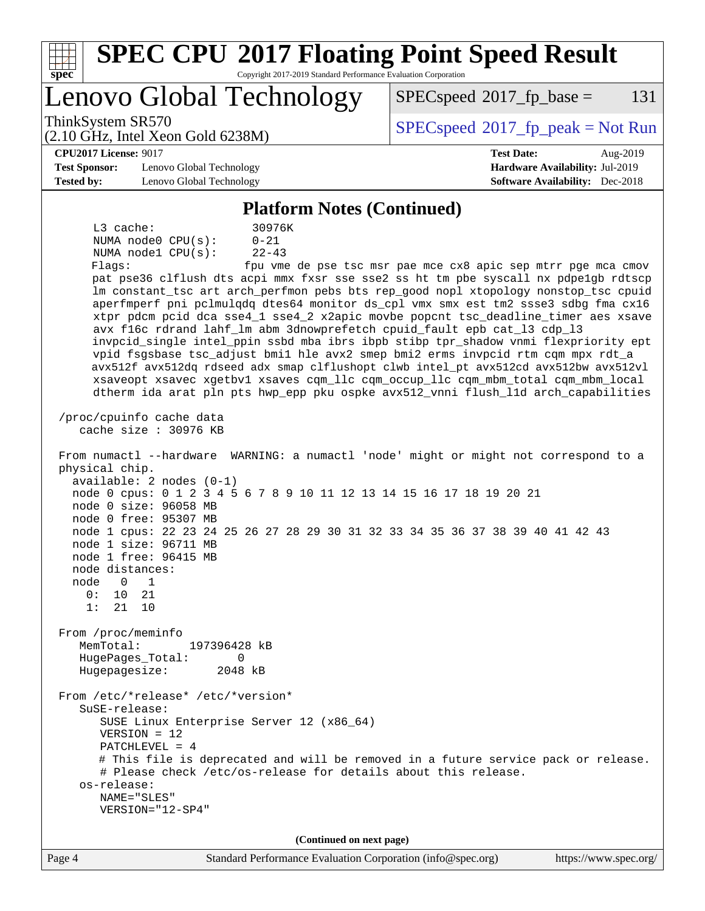| <b>SPEC CPU®2017 Floating Point Speed Result</b><br>Copyright 2017-2019 Standard Performance Evaluation Corporation<br>spec <sup>®</sup>                                                                                                                                                                                                                                                                                                                                                                                                                                                                                                                                                                                                                                                                                                                                                                                                                                                                                                                                                                                                                                                                                                                                                                                                                                                                                                                                                                                                                                                                                                                                                                                                                                                                                                                                                                                                                                                                                                                         |                                              |  |  |  |  |
|------------------------------------------------------------------------------------------------------------------------------------------------------------------------------------------------------------------------------------------------------------------------------------------------------------------------------------------------------------------------------------------------------------------------------------------------------------------------------------------------------------------------------------------------------------------------------------------------------------------------------------------------------------------------------------------------------------------------------------------------------------------------------------------------------------------------------------------------------------------------------------------------------------------------------------------------------------------------------------------------------------------------------------------------------------------------------------------------------------------------------------------------------------------------------------------------------------------------------------------------------------------------------------------------------------------------------------------------------------------------------------------------------------------------------------------------------------------------------------------------------------------------------------------------------------------------------------------------------------------------------------------------------------------------------------------------------------------------------------------------------------------------------------------------------------------------------------------------------------------------------------------------------------------------------------------------------------------------------------------------------------------------------------------------------------------|----------------------------------------------|--|--|--|--|
| Lenovo Global Technology                                                                                                                                                                                                                                                                                                                                                                                                                                                                                                                                                                                                                                                                                                                                                                                                                                                                                                                                                                                                                                                                                                                                                                                                                                                                                                                                                                                                                                                                                                                                                                                                                                                                                                                                                                                                                                                                                                                                                                                                                                         | 131<br>$SPEC speed^{\circ}2017$ fp base =    |  |  |  |  |
| ThinkSystem SR570<br>$(2.10 \text{ GHz}, \text{Intel Xeon Gold } 6238\text{M})$                                                                                                                                                                                                                                                                                                                                                                                                                                                                                                                                                                                                                                                                                                                                                                                                                                                                                                                                                                                                                                                                                                                                                                                                                                                                                                                                                                                                                                                                                                                                                                                                                                                                                                                                                                                                                                                                                                                                                                                  | $SPEC speed^{\circ}2017\_fp\_peak = Not Run$ |  |  |  |  |
| <b>CPU2017 License: 9017</b>                                                                                                                                                                                                                                                                                                                                                                                                                                                                                                                                                                                                                                                                                                                                                                                                                                                                                                                                                                                                                                                                                                                                                                                                                                                                                                                                                                                                                                                                                                                                                                                                                                                                                                                                                                                                                                                                                                                                                                                                                                     | <b>Test Date:</b><br>Aug-2019                |  |  |  |  |
| <b>Test Sponsor:</b><br>Lenovo Global Technology                                                                                                                                                                                                                                                                                                                                                                                                                                                                                                                                                                                                                                                                                                                                                                                                                                                                                                                                                                                                                                                                                                                                                                                                                                                                                                                                                                                                                                                                                                                                                                                                                                                                                                                                                                                                                                                                                                                                                                                                                 | Hardware Availability: Jul-2019              |  |  |  |  |
| <b>Tested by:</b><br>Lenovo Global Technology                                                                                                                                                                                                                                                                                                                                                                                                                                                                                                                                                                                                                                                                                                                                                                                                                                                                                                                                                                                                                                                                                                                                                                                                                                                                                                                                                                                                                                                                                                                                                                                                                                                                                                                                                                                                                                                                                                                                                                                                                    | <b>Software Availability:</b> Dec-2018       |  |  |  |  |
|                                                                                                                                                                                                                                                                                                                                                                                                                                                                                                                                                                                                                                                                                                                                                                                                                                                                                                                                                                                                                                                                                                                                                                                                                                                                                                                                                                                                                                                                                                                                                                                                                                                                                                                                                                                                                                                                                                                                                                                                                                                                  |                                              |  |  |  |  |
| <b>Platform Notes (Continued)</b><br>$L3$ cache:<br>30976K<br>NUMA node0 CPU(s):<br>$0 - 21$<br>NUMA nodel CPU(s):<br>$22 - 43$<br>Flaqs:<br>fpu vme de pse tsc msr pae mce cx8 apic sep mtrr pge mca cmov<br>pat pse36 clflush dts acpi mmx fxsr sse sse2 ss ht tm pbe syscall nx pdpe1gb rdtscp<br>lm constant_tsc art arch_perfmon pebs bts rep_good nopl xtopology nonstop_tsc cpuid<br>aperfmperf pni pclmulqdq dtes64 monitor ds_cpl vmx smx est tm2 ssse3 sdbg fma cx16<br>xtpr pdcm pcid dca sse4_1 sse4_2 x2apic movbe popcnt tsc_deadline_timer aes xsave<br>avx f16c rdrand lahf_lm abm 3dnowprefetch cpuid_fault epb cat_13 cdp_13<br>invpcid_single intel_ppin ssbd mba ibrs ibpb stibp tpr_shadow vnmi flexpriority ept<br>vpid fsgsbase tsc_adjust bmil hle avx2 smep bmi2 erms invpcid rtm cqm mpx rdt_a<br>avx512f avx512dq rdseed adx smap clflushopt clwb intel_pt avx512cd avx512bw avx512vl<br>xsaveopt xsavec xgetbvl xsaves cqm_llc cqm_occup_llc cqm_mbm_total cqm_mbm_local<br>dtherm ida arat pln pts hwp_epp pku ospke avx512_vnni flush_lld arch_capabilities<br>/proc/cpuinfo cache data<br>cache size : 30976 KB<br>From numactl --hardware WARNING: a numactl 'node' might or might not correspond to a<br>physical chip.<br>$available: 2 nodes (0-1)$<br>node 0 cpus: 0 1 2 3 4 5 6 7 8 9 10 11 12 13 14 15 16 17 18 19 20 21<br>node 0 size: 96058 MB<br>node 0 free: 95307 MB<br>node 1 cpus: 22 23 24 25 26 27 28 29 30 31 32 33 34 35 36 37 38 39 40 41 42 43<br>node 1 size: 96711 MB<br>node 1 free: 96415 MB<br>node distances:<br>node<br>$\mathbf{0}$<br>1<br>0:<br>10<br>21<br>21<br>1:<br>10<br>From /proc/meminfo<br>MemTotal:<br>197396428 kB<br>HugePages_Total:<br>0<br>Hugepagesize:<br>2048 kB<br>From /etc/*release* /etc/*version*<br>SuSE-release:<br>SUSE Linux Enterprise Server 12 (x86_64)<br>$VERSION = 12$<br>PATCHLEVEL = $4$<br># This file is deprecated and will be removed in a future service pack or release.<br># Please check /etc/os-release for details about this release.<br>os-release: |                                              |  |  |  |  |
|                                                                                                                                                                                                                                                                                                                                                                                                                                                                                                                                                                                                                                                                                                                                                                                                                                                                                                                                                                                                                                                                                                                                                                                                                                                                                                                                                                                                                                                                                                                                                                                                                                                                                                                                                                                                                                                                                                                                                                                                                                                                  |                                              |  |  |  |  |
| (Continued on next page)<br>$\alpha$<br>$\mathbf{D}_{\alpha\alpha\alpha}$ $\Lambda$                                                                                                                                                                                                                                                                                                                                                                                                                                                                                                                                                                                                                                                                                                                                                                                                                                                                                                                                                                                                                                                                                                                                                                                                                                                                                                                                                                                                                                                                                                                                                                                                                                                                                                                                                                                                                                                                                                                                                                              | http://www.600.050                           |  |  |  |  |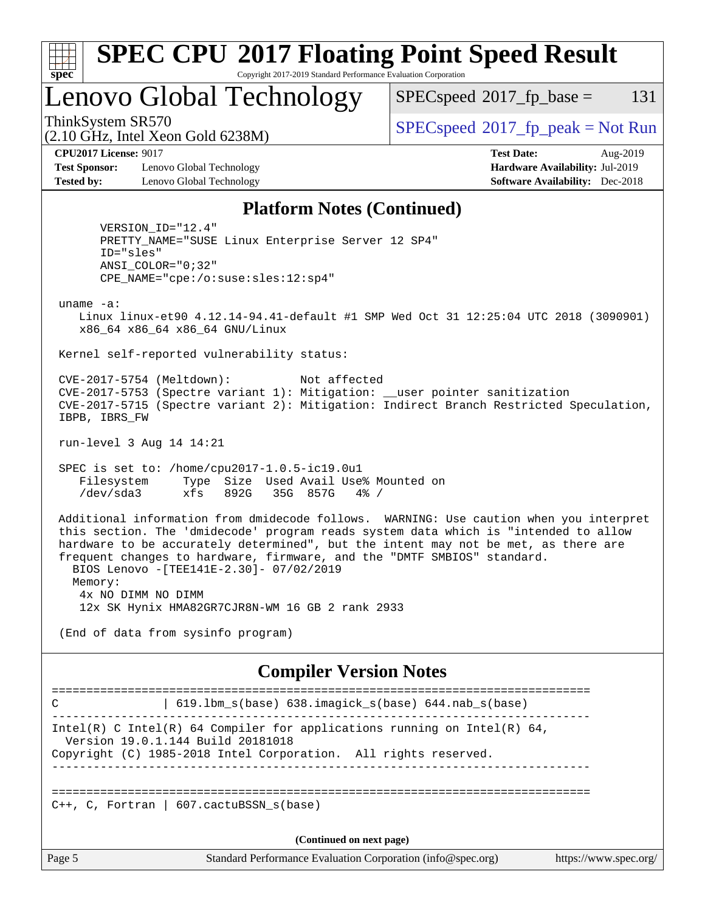| c<br>Æ<br>u<br>÷ |  |  |  |  |  |
|------------------|--|--|--|--|--|

#### **[SPEC CPU](http://www.spec.org/auto/cpu2017/Docs/result-fields.html#SPECCPU2017FloatingPointSpeedResult)[2017 Floating Point Speed Result](http://www.spec.org/auto/cpu2017/Docs/result-fields.html#SPECCPU2017FloatingPointSpeedResult)** Copyright 2017-2019 Standard Performance Evaluation Corporation

# Lenovo Global Technology

 $SPECspeed^{\circ}2017\_fp\_base = 131$  $SPECspeed^{\circ}2017\_fp\_base = 131$ 

(2.10 GHz, Intel Xeon Gold 6238M)

ThinkSystem SR570<br>  $SPECspeed*2017_fp\_peak = Not Run$  $SPECspeed*2017_fp\_peak = Not Run$ 

**[Test Sponsor:](http://www.spec.org/auto/cpu2017/Docs/result-fields.html#TestSponsor)** Lenovo Global Technology **[Hardware Availability:](http://www.spec.org/auto/cpu2017/Docs/result-fields.html#HardwareAvailability)** Jul-2019 **[Tested by:](http://www.spec.org/auto/cpu2017/Docs/result-fields.html#Testedby)** Lenovo Global Technology **[Software Availability:](http://www.spec.org/auto/cpu2017/Docs/result-fields.html#SoftwareAvailability)** Dec-2018

**[CPU2017 License:](http://www.spec.org/auto/cpu2017/Docs/result-fields.html#CPU2017License)** 9017 **[Test Date:](http://www.spec.org/auto/cpu2017/Docs/result-fields.html#TestDate)** Aug-2019

#### **[Platform Notes \(Continued\)](http://www.spec.org/auto/cpu2017/Docs/result-fields.html#PlatformNotes)**

 VERSION\_ID="12.4" PRETTY\_NAME="SUSE Linux Enterprise Server 12 SP4" ID="sles" ANSI\_COLOR="0;32" CPE\_NAME="cpe:/o:suse:sles:12:sp4"

uname -a:

 Linux linux-et90 4.12.14-94.41-default #1 SMP Wed Oct 31 12:25:04 UTC 2018 (3090901) x86\_64 x86\_64 x86\_64 GNU/Linux

Kernel self-reported vulnerability status:

 CVE-2017-5754 (Meltdown): Not affected CVE-2017-5753 (Spectre variant 1): Mitigation: \_\_user pointer sanitization CVE-2017-5715 (Spectre variant 2): Mitigation: Indirect Branch Restricted Speculation, IBPB, IBRS\_FW

run-level 3 Aug 14 14:21

 SPEC is set to: /home/cpu2017-1.0.5-ic19.0u1 Filesystem Type Size Used Avail Use% Mounted on /dev/sda3 xfs 892G 35G 857G 4% /

 Additional information from dmidecode follows. WARNING: Use caution when you interpret this section. The 'dmidecode' program reads system data which is "intended to allow hardware to be accurately determined", but the intent may not be met, as there are frequent changes to hardware, firmware, and the "DMTF SMBIOS" standard. BIOS Lenovo -[TEE141E-2.30]- 07/02/2019 Memory: 4x NO DIMM NO DIMM

12x SK Hynix HMA82GR7CJR8N-WM 16 GB 2 rank 2933

(End of data from sysinfo program)

#### **[Compiler Version Notes](http://www.spec.org/auto/cpu2017/Docs/result-fields.html#CompilerVersionNotes)**

============================================================================== C | 619.lbm\_s(base) 638.imagick\_s(base) 644.nab\_s(base) ------------------------------------------------------------------------------ Intel(R) C Intel(R) 64 Compiler for applications running on Intel(R)  $64$ , Version 19.0.1.144 Build 20181018 Copyright (C) 1985-2018 Intel Corporation. All rights reserved. ------------------------------------------------------------------------------ ==============================================================================  $C_{++}$ , C, Fortran | 607.cactuBSSN s(base) **(Continued on next page)**

Page 5 Standard Performance Evaluation Corporation [\(info@spec.org\)](mailto:info@spec.org) <https://www.spec.org/>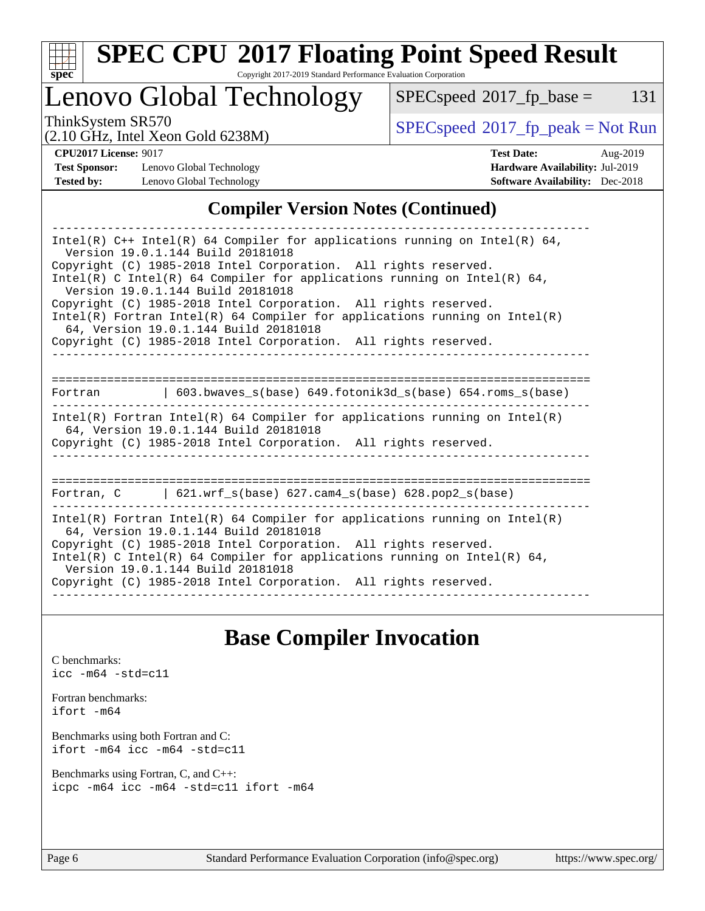

# **[SPEC CPU](http://www.spec.org/auto/cpu2017/Docs/result-fields.html#SPECCPU2017FloatingPointSpeedResult)[2017 Floating Point Speed Result](http://www.spec.org/auto/cpu2017/Docs/result-fields.html#SPECCPU2017FloatingPointSpeedResult)**

Copyright 2017-2019 Standard Performance Evaluation Corporation

# Lenovo Global Technology

 $SPECspeed^{\circledcirc}2017_fp\_base = 131$  $SPECspeed^{\circledcirc}2017_fp\_base = 131$ 

(2.10 GHz, Intel Xeon Gold 6238M)

ThinkSystem SR570<br>  $\begin{array}{c}\n\text{SPEC speed} \text{?}2017\_fp\_peak = Not Run \\
\text{C10 GHz\_Intel-Yoon Gold }6238M\n\end{array}$ 

**[Test Sponsor:](http://www.spec.org/auto/cpu2017/Docs/result-fields.html#TestSponsor)** Lenovo Global Technology **[Hardware Availability:](http://www.spec.org/auto/cpu2017/Docs/result-fields.html#HardwareAvailability)** Jul-2019 **[Tested by:](http://www.spec.org/auto/cpu2017/Docs/result-fields.html#Testedby)** Lenovo Global Technology **[Software Availability:](http://www.spec.org/auto/cpu2017/Docs/result-fields.html#SoftwareAvailability)** Dec-2018

**[CPU2017 License:](http://www.spec.org/auto/cpu2017/Docs/result-fields.html#CPU2017License)** 9017 **[Test Date:](http://www.spec.org/auto/cpu2017/Docs/result-fields.html#TestDate)** Aug-2019

### **[Compiler Version Notes \(Continued\)](http://www.spec.org/auto/cpu2017/Docs/result-fields.html#CompilerVersionNotes)**

| Intel(R) $C++$ Intel(R) 64 Compiler for applications running on Intel(R) 64,<br>Version 19.0.1.144 Build 20181018<br>Copyright (C) 1985-2018 Intel Corporation. All rights reserved.<br>Intel(R) C Intel(R) 64 Compiler for applications running on Intel(R) 64,<br>Version 19.0.1.144 Build 20181018<br>Copyright (C) 1985-2018 Intel Corporation. All rights reserved.<br>$Intel(R)$ Fortran Intel(R) 64 Compiler for applications running on Intel(R) |  |  |  |  |
|----------------------------------------------------------------------------------------------------------------------------------------------------------------------------------------------------------------------------------------------------------------------------------------------------------------------------------------------------------------------------------------------------------------------------------------------------------|--|--|--|--|
| 64, Version 19.0.1.144 Build 20181018<br>Copyright (C) 1985-2018 Intel Corporation. All rights reserved.                                                                                                                                                                                                                                                                                                                                                 |  |  |  |  |
|                                                                                                                                                                                                                                                                                                                                                                                                                                                          |  |  |  |  |
| $\vert$ 603.bwaves_s(base) 649.fotonik3d_s(base) 654.roms_s(base)<br>Fortran                                                                                                                                                                                                                                                                                                                                                                             |  |  |  |  |
| Intel(R) Fortran Intel(R) 64 Compiler for applications running on Intel(R)<br>64, Version 19.0.1.144 Build 20181018<br>Copyright (C) 1985-2018 Intel Corporation. All rights reserved.                                                                                                                                                                                                                                                                   |  |  |  |  |
| Fortran, $C = \{621. \text{wrf s}(\text{base}) \}$ 627. cam4 s(base) 628. pop2 s(base)                                                                                                                                                                                                                                                                                                                                                                   |  |  |  |  |
| Intel(R) Fortran Intel(R) 64 Compiler for applications running on Intel(R)<br>64, Version 19.0.1.144 Build 20181018<br>Copyright (C) 1985-2018 Intel Corporation. All rights reserved.<br>Intel(R) C Intel(R) 64 Compiler for applications running on Intel(R) 64,<br>Version 19.0.1.144 Build 20181018<br>Copyright (C) 1985-2018 Intel Corporation. All rights reserved.                                                                               |  |  |  |  |

# **[Base Compiler Invocation](http://www.spec.org/auto/cpu2017/Docs/result-fields.html#BaseCompilerInvocation)**

[C benchmarks](http://www.spec.org/auto/cpu2017/Docs/result-fields.html#Cbenchmarks): [icc -m64 -std=c11](http://www.spec.org/cpu2017/results/res2019q3/cpu2017-20190819-17177.flags.html#user_CCbase_intel_icc_64bit_c11_33ee0cdaae7deeeab2a9725423ba97205ce30f63b9926c2519791662299b76a0318f32ddfffdc46587804de3178b4f9328c46fa7c2b0cd779d7a61945c91cd35)

[Fortran benchmarks](http://www.spec.org/auto/cpu2017/Docs/result-fields.html#Fortranbenchmarks): [ifort -m64](http://www.spec.org/cpu2017/results/res2019q3/cpu2017-20190819-17177.flags.html#user_FCbase_intel_ifort_64bit_24f2bb282fbaeffd6157abe4f878425411749daecae9a33200eee2bee2fe76f3b89351d69a8130dd5949958ce389cf37ff59a95e7a40d588e8d3a57e0c3fd751)

[Benchmarks using both Fortran and C](http://www.spec.org/auto/cpu2017/Docs/result-fields.html#BenchmarksusingbothFortranandC): [ifort -m64](http://www.spec.org/cpu2017/results/res2019q3/cpu2017-20190819-17177.flags.html#user_CC_FCbase_intel_ifort_64bit_24f2bb282fbaeffd6157abe4f878425411749daecae9a33200eee2bee2fe76f3b89351d69a8130dd5949958ce389cf37ff59a95e7a40d588e8d3a57e0c3fd751) [icc -m64 -std=c11](http://www.spec.org/cpu2017/results/res2019q3/cpu2017-20190819-17177.flags.html#user_CC_FCbase_intel_icc_64bit_c11_33ee0cdaae7deeeab2a9725423ba97205ce30f63b9926c2519791662299b76a0318f32ddfffdc46587804de3178b4f9328c46fa7c2b0cd779d7a61945c91cd35)

[Benchmarks using Fortran, C, and C++:](http://www.spec.org/auto/cpu2017/Docs/result-fields.html#BenchmarksusingFortranCandCXX) [icpc -m64](http://www.spec.org/cpu2017/results/res2019q3/cpu2017-20190819-17177.flags.html#user_CC_CXX_FCbase_intel_icpc_64bit_4ecb2543ae3f1412ef961e0650ca070fec7b7afdcd6ed48761b84423119d1bf6bdf5cad15b44d48e7256388bc77273b966e5eb805aefd121eb22e9299b2ec9d9) [icc -m64 -std=c11](http://www.spec.org/cpu2017/results/res2019q3/cpu2017-20190819-17177.flags.html#user_CC_CXX_FCbase_intel_icc_64bit_c11_33ee0cdaae7deeeab2a9725423ba97205ce30f63b9926c2519791662299b76a0318f32ddfffdc46587804de3178b4f9328c46fa7c2b0cd779d7a61945c91cd35) [ifort -m64](http://www.spec.org/cpu2017/results/res2019q3/cpu2017-20190819-17177.flags.html#user_CC_CXX_FCbase_intel_ifort_64bit_24f2bb282fbaeffd6157abe4f878425411749daecae9a33200eee2bee2fe76f3b89351d69a8130dd5949958ce389cf37ff59a95e7a40d588e8d3a57e0c3fd751)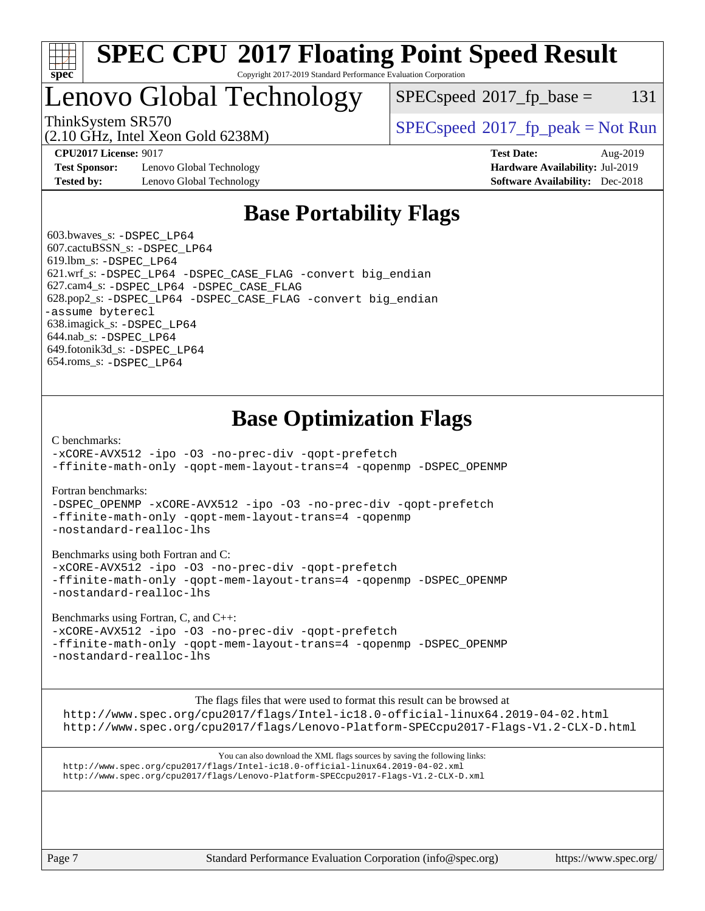

#### **[SPEC CPU](http://www.spec.org/auto/cpu2017/Docs/result-fields.html#SPECCPU2017FloatingPointSpeedResult)[2017 Floating Point Speed Result](http://www.spec.org/auto/cpu2017/Docs/result-fields.html#SPECCPU2017FloatingPointSpeedResult)** Copyright 2017-2019 Standard Performance Evaluation Corporation

# Lenovo Global Technology

 $SPEC speed^{\circ}2017\_fp\_base = 131$ 

(2.10 GHz, Intel Xeon Gold 6238M)

ThinkSystem SR570<br>  $SPEC speed^{\circ}2017$  [p\_peak = Not Run

**[Test Sponsor:](http://www.spec.org/auto/cpu2017/Docs/result-fields.html#TestSponsor)** Lenovo Global Technology **[Hardware Availability:](http://www.spec.org/auto/cpu2017/Docs/result-fields.html#HardwareAvailability)** Jul-2019 **[Tested by:](http://www.spec.org/auto/cpu2017/Docs/result-fields.html#Testedby)** Lenovo Global Technology **[Software Availability:](http://www.spec.org/auto/cpu2017/Docs/result-fields.html#SoftwareAvailability)** Dec-2018

**[CPU2017 License:](http://www.spec.org/auto/cpu2017/Docs/result-fields.html#CPU2017License)** 9017 **[Test Date:](http://www.spec.org/auto/cpu2017/Docs/result-fields.html#TestDate)** Aug-2019

# **[Base Portability Flags](http://www.spec.org/auto/cpu2017/Docs/result-fields.html#BasePortabilityFlags)**

 603.bwaves\_s: [-DSPEC\\_LP64](http://www.spec.org/cpu2017/results/res2019q3/cpu2017-20190819-17177.flags.html#suite_basePORTABILITY603_bwaves_s_DSPEC_LP64) 607.cactuBSSN\_s: [-DSPEC\\_LP64](http://www.spec.org/cpu2017/results/res2019q3/cpu2017-20190819-17177.flags.html#suite_basePORTABILITY607_cactuBSSN_s_DSPEC_LP64) 619.lbm\_s: [-DSPEC\\_LP64](http://www.spec.org/cpu2017/results/res2019q3/cpu2017-20190819-17177.flags.html#suite_basePORTABILITY619_lbm_s_DSPEC_LP64) 621.wrf\_s: [-DSPEC\\_LP64](http://www.spec.org/cpu2017/results/res2019q3/cpu2017-20190819-17177.flags.html#suite_basePORTABILITY621_wrf_s_DSPEC_LP64) [-DSPEC\\_CASE\\_FLAG](http://www.spec.org/cpu2017/results/res2019q3/cpu2017-20190819-17177.flags.html#b621.wrf_s_baseCPORTABILITY_DSPEC_CASE_FLAG) [-convert big\\_endian](http://www.spec.org/cpu2017/results/res2019q3/cpu2017-20190819-17177.flags.html#user_baseFPORTABILITY621_wrf_s_convert_big_endian_c3194028bc08c63ac5d04de18c48ce6d347e4e562e8892b8bdbdc0214820426deb8554edfa529a3fb25a586e65a3d812c835984020483e7e73212c4d31a38223) 627.cam4\_s: [-DSPEC\\_LP64](http://www.spec.org/cpu2017/results/res2019q3/cpu2017-20190819-17177.flags.html#suite_basePORTABILITY627_cam4_s_DSPEC_LP64) [-DSPEC\\_CASE\\_FLAG](http://www.spec.org/cpu2017/results/res2019q3/cpu2017-20190819-17177.flags.html#b627.cam4_s_baseCPORTABILITY_DSPEC_CASE_FLAG) 628.pop2\_s: [-DSPEC\\_LP64](http://www.spec.org/cpu2017/results/res2019q3/cpu2017-20190819-17177.flags.html#suite_basePORTABILITY628_pop2_s_DSPEC_LP64) [-DSPEC\\_CASE\\_FLAG](http://www.spec.org/cpu2017/results/res2019q3/cpu2017-20190819-17177.flags.html#b628.pop2_s_baseCPORTABILITY_DSPEC_CASE_FLAG) [-convert big\\_endian](http://www.spec.org/cpu2017/results/res2019q3/cpu2017-20190819-17177.flags.html#user_baseFPORTABILITY628_pop2_s_convert_big_endian_c3194028bc08c63ac5d04de18c48ce6d347e4e562e8892b8bdbdc0214820426deb8554edfa529a3fb25a586e65a3d812c835984020483e7e73212c4d31a38223) [-assume byterecl](http://www.spec.org/cpu2017/results/res2019q3/cpu2017-20190819-17177.flags.html#user_baseFPORTABILITY628_pop2_s_assume_byterecl_7e47d18b9513cf18525430bbf0f2177aa9bf368bc7a059c09b2c06a34b53bd3447c950d3f8d6c70e3faf3a05c8557d66a5798b567902e8849adc142926523472) 638.imagick\_s: [-DSPEC\\_LP64](http://www.spec.org/cpu2017/results/res2019q3/cpu2017-20190819-17177.flags.html#suite_basePORTABILITY638_imagick_s_DSPEC_LP64) 644.nab\_s: [-DSPEC\\_LP64](http://www.spec.org/cpu2017/results/res2019q3/cpu2017-20190819-17177.flags.html#suite_basePORTABILITY644_nab_s_DSPEC_LP64) 649.fotonik3d\_s: [-DSPEC\\_LP64](http://www.spec.org/cpu2017/results/res2019q3/cpu2017-20190819-17177.flags.html#suite_basePORTABILITY649_fotonik3d_s_DSPEC_LP64) 654.roms\_s: [-DSPEC\\_LP64](http://www.spec.org/cpu2017/results/res2019q3/cpu2017-20190819-17177.flags.html#suite_basePORTABILITY654_roms_s_DSPEC_LP64)

# **[Base Optimization Flags](http://www.spec.org/auto/cpu2017/Docs/result-fields.html#BaseOptimizationFlags)**

[C benchmarks](http://www.spec.org/auto/cpu2017/Docs/result-fields.html#Cbenchmarks):

[-xCORE-AVX512](http://www.spec.org/cpu2017/results/res2019q3/cpu2017-20190819-17177.flags.html#user_CCbase_f-xCORE-AVX512) [-ipo](http://www.spec.org/cpu2017/results/res2019q3/cpu2017-20190819-17177.flags.html#user_CCbase_f-ipo) [-O3](http://www.spec.org/cpu2017/results/res2019q3/cpu2017-20190819-17177.flags.html#user_CCbase_f-O3) [-no-prec-div](http://www.spec.org/cpu2017/results/res2019q3/cpu2017-20190819-17177.flags.html#user_CCbase_f-no-prec-div) [-qopt-prefetch](http://www.spec.org/cpu2017/results/res2019q3/cpu2017-20190819-17177.flags.html#user_CCbase_f-qopt-prefetch) [-ffinite-math-only](http://www.spec.org/cpu2017/results/res2019q3/cpu2017-20190819-17177.flags.html#user_CCbase_f_finite_math_only_cb91587bd2077682c4b38af759c288ed7c732db004271a9512da14a4f8007909a5f1427ecbf1a0fb78ff2a814402c6114ac565ca162485bbcae155b5e4258871) [-qopt-mem-layout-trans=4](http://www.spec.org/cpu2017/results/res2019q3/cpu2017-20190819-17177.flags.html#user_CCbase_f-qopt-mem-layout-trans_fa39e755916c150a61361b7846f310bcdf6f04e385ef281cadf3647acec3f0ae266d1a1d22d972a7087a248fd4e6ca390a3634700869573d231a252c784941a8) [-qopenmp](http://www.spec.org/cpu2017/results/res2019q3/cpu2017-20190819-17177.flags.html#user_CCbase_qopenmp_16be0c44f24f464004c6784a7acb94aca937f053568ce72f94b139a11c7c168634a55f6653758ddd83bcf7b8463e8028bb0b48b77bcddc6b78d5d95bb1df2967) [-DSPEC\\_OPENMP](http://www.spec.org/cpu2017/results/res2019q3/cpu2017-20190819-17177.flags.html#suite_CCbase_DSPEC_OPENMP)

[Fortran benchmarks](http://www.spec.org/auto/cpu2017/Docs/result-fields.html#Fortranbenchmarks):

[-DSPEC\\_OPENMP](http://www.spec.org/cpu2017/results/res2019q3/cpu2017-20190819-17177.flags.html#suite_FCbase_DSPEC_OPENMP) [-xCORE-AVX512](http://www.spec.org/cpu2017/results/res2019q3/cpu2017-20190819-17177.flags.html#user_FCbase_f-xCORE-AVX512) [-ipo](http://www.spec.org/cpu2017/results/res2019q3/cpu2017-20190819-17177.flags.html#user_FCbase_f-ipo) [-O3](http://www.spec.org/cpu2017/results/res2019q3/cpu2017-20190819-17177.flags.html#user_FCbase_f-O3) [-no-prec-div](http://www.spec.org/cpu2017/results/res2019q3/cpu2017-20190819-17177.flags.html#user_FCbase_f-no-prec-div) [-qopt-prefetch](http://www.spec.org/cpu2017/results/res2019q3/cpu2017-20190819-17177.flags.html#user_FCbase_f-qopt-prefetch) [-ffinite-math-only](http://www.spec.org/cpu2017/results/res2019q3/cpu2017-20190819-17177.flags.html#user_FCbase_f_finite_math_only_cb91587bd2077682c4b38af759c288ed7c732db004271a9512da14a4f8007909a5f1427ecbf1a0fb78ff2a814402c6114ac565ca162485bbcae155b5e4258871) [-qopt-mem-layout-trans=4](http://www.spec.org/cpu2017/results/res2019q3/cpu2017-20190819-17177.flags.html#user_FCbase_f-qopt-mem-layout-trans_fa39e755916c150a61361b7846f310bcdf6f04e385ef281cadf3647acec3f0ae266d1a1d22d972a7087a248fd4e6ca390a3634700869573d231a252c784941a8) [-qopenmp](http://www.spec.org/cpu2017/results/res2019q3/cpu2017-20190819-17177.flags.html#user_FCbase_qopenmp_16be0c44f24f464004c6784a7acb94aca937f053568ce72f94b139a11c7c168634a55f6653758ddd83bcf7b8463e8028bb0b48b77bcddc6b78d5d95bb1df2967) [-nostandard-realloc-lhs](http://www.spec.org/cpu2017/results/res2019q3/cpu2017-20190819-17177.flags.html#user_FCbase_f_2003_std_realloc_82b4557e90729c0f113870c07e44d33d6f5a304b4f63d4c15d2d0f1fab99f5daaed73bdb9275d9ae411527f28b936061aa8b9c8f2d63842963b95c9dd6426b8a)

[Benchmarks using both Fortran and C](http://www.spec.org/auto/cpu2017/Docs/result-fields.html#BenchmarksusingbothFortranandC):

[-xCORE-AVX512](http://www.spec.org/cpu2017/results/res2019q3/cpu2017-20190819-17177.flags.html#user_CC_FCbase_f-xCORE-AVX512) [-ipo](http://www.spec.org/cpu2017/results/res2019q3/cpu2017-20190819-17177.flags.html#user_CC_FCbase_f-ipo) [-O3](http://www.spec.org/cpu2017/results/res2019q3/cpu2017-20190819-17177.flags.html#user_CC_FCbase_f-O3) [-no-prec-div](http://www.spec.org/cpu2017/results/res2019q3/cpu2017-20190819-17177.flags.html#user_CC_FCbase_f-no-prec-div) [-qopt-prefetch](http://www.spec.org/cpu2017/results/res2019q3/cpu2017-20190819-17177.flags.html#user_CC_FCbase_f-qopt-prefetch) [-ffinite-math-only](http://www.spec.org/cpu2017/results/res2019q3/cpu2017-20190819-17177.flags.html#user_CC_FCbase_f_finite_math_only_cb91587bd2077682c4b38af759c288ed7c732db004271a9512da14a4f8007909a5f1427ecbf1a0fb78ff2a814402c6114ac565ca162485bbcae155b5e4258871) [-qopt-mem-layout-trans=4](http://www.spec.org/cpu2017/results/res2019q3/cpu2017-20190819-17177.flags.html#user_CC_FCbase_f-qopt-mem-layout-trans_fa39e755916c150a61361b7846f310bcdf6f04e385ef281cadf3647acec3f0ae266d1a1d22d972a7087a248fd4e6ca390a3634700869573d231a252c784941a8) [-qopenmp](http://www.spec.org/cpu2017/results/res2019q3/cpu2017-20190819-17177.flags.html#user_CC_FCbase_qopenmp_16be0c44f24f464004c6784a7acb94aca937f053568ce72f94b139a11c7c168634a55f6653758ddd83bcf7b8463e8028bb0b48b77bcddc6b78d5d95bb1df2967) [-DSPEC\\_OPENMP](http://www.spec.org/cpu2017/results/res2019q3/cpu2017-20190819-17177.flags.html#suite_CC_FCbase_DSPEC_OPENMP) [-nostandard-realloc-lhs](http://www.spec.org/cpu2017/results/res2019q3/cpu2017-20190819-17177.flags.html#user_CC_FCbase_f_2003_std_realloc_82b4557e90729c0f113870c07e44d33d6f5a304b4f63d4c15d2d0f1fab99f5daaed73bdb9275d9ae411527f28b936061aa8b9c8f2d63842963b95c9dd6426b8a)

[Benchmarks using Fortran, C, and C++:](http://www.spec.org/auto/cpu2017/Docs/result-fields.html#BenchmarksusingFortranCandCXX)

[-xCORE-AVX512](http://www.spec.org/cpu2017/results/res2019q3/cpu2017-20190819-17177.flags.html#user_CC_CXX_FCbase_f-xCORE-AVX512) [-ipo](http://www.spec.org/cpu2017/results/res2019q3/cpu2017-20190819-17177.flags.html#user_CC_CXX_FCbase_f-ipo) [-O3](http://www.spec.org/cpu2017/results/res2019q3/cpu2017-20190819-17177.flags.html#user_CC_CXX_FCbase_f-O3) [-no-prec-div](http://www.spec.org/cpu2017/results/res2019q3/cpu2017-20190819-17177.flags.html#user_CC_CXX_FCbase_f-no-prec-div) [-qopt-prefetch](http://www.spec.org/cpu2017/results/res2019q3/cpu2017-20190819-17177.flags.html#user_CC_CXX_FCbase_f-qopt-prefetch) [-ffinite-math-only](http://www.spec.org/cpu2017/results/res2019q3/cpu2017-20190819-17177.flags.html#user_CC_CXX_FCbase_f_finite_math_only_cb91587bd2077682c4b38af759c288ed7c732db004271a9512da14a4f8007909a5f1427ecbf1a0fb78ff2a814402c6114ac565ca162485bbcae155b5e4258871) [-qopt-mem-layout-trans=4](http://www.spec.org/cpu2017/results/res2019q3/cpu2017-20190819-17177.flags.html#user_CC_CXX_FCbase_f-qopt-mem-layout-trans_fa39e755916c150a61361b7846f310bcdf6f04e385ef281cadf3647acec3f0ae266d1a1d22d972a7087a248fd4e6ca390a3634700869573d231a252c784941a8) [-qopenmp](http://www.spec.org/cpu2017/results/res2019q3/cpu2017-20190819-17177.flags.html#user_CC_CXX_FCbase_qopenmp_16be0c44f24f464004c6784a7acb94aca937f053568ce72f94b139a11c7c168634a55f6653758ddd83bcf7b8463e8028bb0b48b77bcddc6b78d5d95bb1df2967) [-DSPEC\\_OPENMP](http://www.spec.org/cpu2017/results/res2019q3/cpu2017-20190819-17177.flags.html#suite_CC_CXX_FCbase_DSPEC_OPENMP) [-nostandard-realloc-lhs](http://www.spec.org/cpu2017/results/res2019q3/cpu2017-20190819-17177.flags.html#user_CC_CXX_FCbase_f_2003_std_realloc_82b4557e90729c0f113870c07e44d33d6f5a304b4f63d4c15d2d0f1fab99f5daaed73bdb9275d9ae411527f28b936061aa8b9c8f2d63842963b95c9dd6426b8a)

[The flags files that were used to format this result can be browsed at](tmsearch)

<http://www.spec.org/cpu2017/flags/Intel-ic18.0-official-linux64.2019-04-02.html> <http://www.spec.org/cpu2017/flags/Lenovo-Platform-SPECcpu2017-Flags-V1.2-CLX-D.html>

[You can also download the XML flags sources by saving the following links:](tmsearch) <http://www.spec.org/cpu2017/flags/Intel-ic18.0-official-linux64.2019-04-02.xml> <http://www.spec.org/cpu2017/flags/Lenovo-Platform-SPECcpu2017-Flags-V1.2-CLX-D.xml>